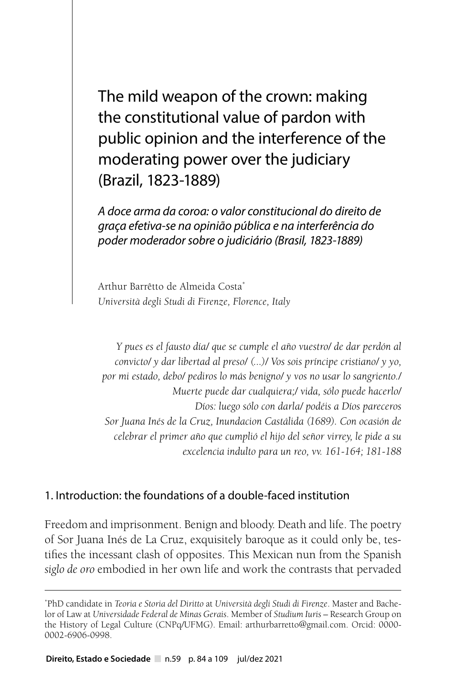The mild weapon of the crown: making the constitutional value of pardon with public opinion and the interference of the moderating power over the judiciary (Brazil, 1823-1889)

*A doce arma da coroa: o valor constitucional do direito de graça efetiva-se na opinião pública e na interferência do poder moderador sobre o judiciário (Brasil, 1823-1889)*

Arthur Barrêtto de Almeida Costa\* *Università degli Studi di Firenze, Florence, Italy*

*Y pues es el fausto día/ que se cumple el año vuestro/ de dar perdón al convicto/ y dar libertad al preso/ (...)/ Vos sois príncipe cristiano/ y yo, por mi estado, debo/ pediros lo más benigno/ y vos no usar lo sangriento./ Muerte puede dar cualquiera;/ vida, sólo puede hacerlo/ Díos: luego sólo con darla/ podéis a Díos pareceros Sor Juana Inés de la Cruz, Inundacion Castálida (1689). Con ocasión de celebrar el primer año que cumplió el hijo del señor virrey, le pide a su excelencia indulto para un reo, vv. 161-164; 181-188*

#### 1. Introduction: the foundations of a double-faced institution

Freedom and imprisonment. Benign and bloody. Death and life. The poetry of Sor Juana Inés de La Cruz, exquisitely baroque as it could only be, testifies the incessant clash of opposites. This Mexican nun from the Spanish *siglo de oro* embodied in her own life and work the contrasts that pervaded

<sup>\*</sup> PhD candidate in *Teoria e Storia del Diritto* at *Università degli Studi di Firenze*. Master and Bachelor of Law at *Universidade Federal de Minas Gerais*. Member of *Studium Iuris* – Research Group on the History of Legal Culture (CNPq/UFMG). Email: arthurbarretto@gmail.com. Orcid: 0000- 0002-6906-0998.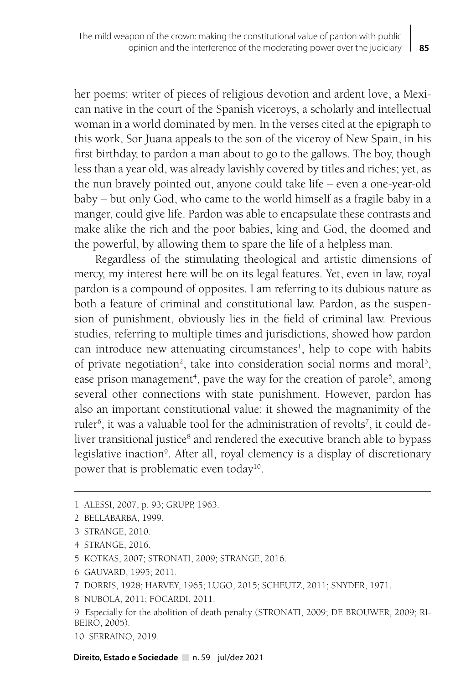her poems: writer of pieces of religious devotion and ardent love, a Mexican native in the court of the Spanish viceroys, a scholarly and intellectual woman in a world dominated by men. In the verses cited at the epigraph to this work, Sor Juana appeals to the son of the viceroy of New Spain, in his first birthday, to pardon a man about to go to the gallows. The boy, though less than a year old, was already lavishly covered by titles and riches; yet, as the nun bravely pointed out, anyone could take life – even a one-year-old baby – but only God, who came to the world himself as a fragile baby in a manger, could give life. Pardon was able to encapsulate these contrasts and make alike the rich and the poor babies, king and God, the doomed and the powerful, by allowing them to spare the life of a helpless man.

Regardless of the stimulating theological and artistic dimensions of mercy, my interest here will be on its legal features. Yet, even in law, royal pardon is a compound of opposites. I am referring to its dubious nature as both a feature of criminal and constitutional law. Pardon, as the suspension of punishment, obviously lies in the field of criminal law. Previous studies, referring to multiple times and jurisdictions, showed how pardon can introduce new attenuating circumstances<sup>1</sup>, help to cope with habits of private negotiation<sup>2</sup>, take into consideration social norms and moral<sup>3</sup>, ease prison management<sup>4</sup>, pave the way for the creation of parole<sup>5</sup>, among several other connections with state punishment. However, pardon has also an important constitutional value: it showed the magnanimity of the ruler<sup>6</sup>, it was a valuable tool for the administration of revolts<sup>7</sup>, it could deliver transitional justice<sup>8</sup> and rendered the executive branch able to bypass legislative inaction<sup>9</sup>. After all, royal clemency is a display of discretionary power that is problematic even today<sup>10</sup>.

- 4 STRANGE, 2016.
- 5 KOTKAS, 2007; STRONATI, 2009; STRANGE, 2016.
- 6 GAUVARD, 1995; 2011.

8 NUBOLA, 2011; FOCARDI, 2011.

10 SERRAINO, 2019.

Direito, Estado e Sociedade n. 59 jul/dez 2021

<sup>1</sup> ALESSI, 2007, p. 93; GRUPP, 1963.

<sup>2</sup> BELLABARBA, 1999.

<sup>3</sup> STRANGE, 2010.

<sup>7</sup> DORRIS, 1928; HARVEY, 1965; LUGO, 2015; SCHEUTZ, 2011; SNYDER, 1971.

<sup>9</sup> Especially for the abolition of death penalty (STRONATI, 2009; DE BROUWER, 2009; RI-BEIRO, 2005).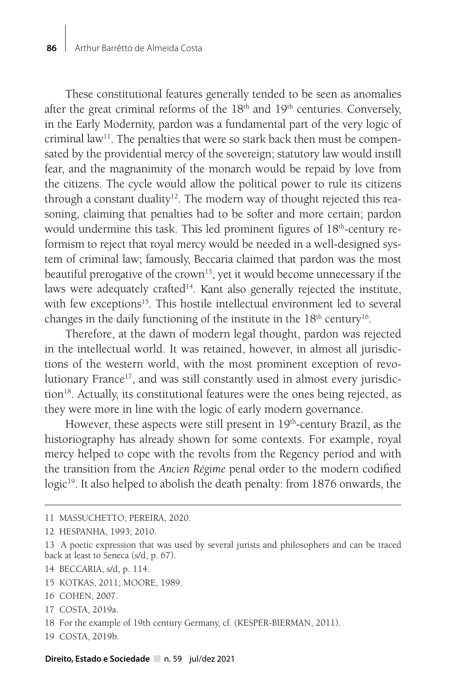These constitutional features generally tended to be seen as anomalies after the great criminal reforms of the  $18<sup>th</sup>$  and  $19<sup>th</sup>$  centuries. Conversely, in the Early Modernity, pardon was a fundamental part of the very logic of criminal law<sup>11</sup>. The penalties that were so stark back then must be compensated by the providential mercy of the sovereign; statutory law would instill fear, and the magnanimity of the monarch would be repaid by love from the citizens. The cycle would allow the political power to rule its citizens through a constant duality<sup>12</sup>. The modern way of thought rejected this reasoning, claiming that penalties had to be softer and more certain; pardon would undermine this task. This led prominent figures of 18<sup>th</sup>-century reformism to reject that royal mercy would be needed in a well-designed system of criminal law; famously, Beccaria claimed that pardon was the most beautiful prerogative of the crown<sup>13</sup>, yet it would become unnecessary if the laws were adequately crafted $14$ . Kant also generally rejected the institute, with few exceptions<sup>15</sup>. This hostile intellectual environment led to several changes in the daily functioning of the institute in the 18<sup>th</sup> century<sup>16</sup>.

Therefore, at the dawn of modern legal thought, pardon was rejected in the intellectual world. It was retained, however, in almost all jurisdictions of the western world, with the most prominent exception of revolutionary France $17$ , and was still constantly used in almost every jurisdiction<sup>18</sup>. Actually, its constitutional features were the ones being rejected, as they were more in line with the logic of early modern governance.

However, these aspects were still present in  $19<sup>th</sup>$ -century Brazil, as the historiography has already shown for some contexts. For example, royal mercy helped to cope with the revolts from the Regency period and with the transition from the *Ancien Régime* penal order to the modern codified logic<sup>19</sup>. It also helped to abolish the death penalty: from 1876 onwards, the

- 15 KOTKAS, 2011; MOORE, 1989.
- 16 COHEN, 2007.
- 17 COSTA, 2019a.
- 18 For the example of 19th century Germany, cf. (KESPER-BIERMAN, 2011).
- 19 COSTA, 2019b.

<sup>11</sup> MASSUCHETTO; PEREIRA, 2020.

<sup>12</sup> HESPANHA, 1993; 2010.

<sup>13</sup> A poetic expression that was used by several jurists and philosophers and can be traced back at least to Seneca (s/d, p. 67).

<sup>14</sup> BECCARIA, s/d, p. 114.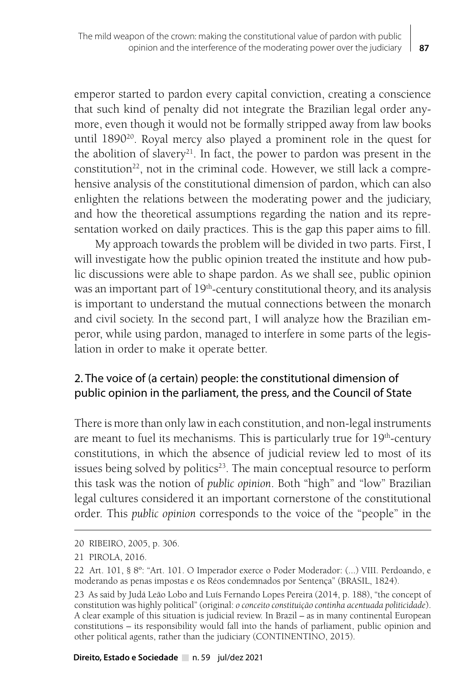emperor started to pardon every capital conviction, creating a conscience that such kind of penalty did not integrate the Brazilian legal order anymore, even though it would not be formally stripped away from law books until 189020. Royal mercy also played a prominent role in the quest for the abolition of slavery<sup>21</sup>. In fact, the power to pardon was present in the constitution<sup>22</sup>, not in the criminal code. However, we still lack a comprehensive analysis of the constitutional dimension of pardon, which can also enlighten the relations between the moderating power and the judiciary, and how the theoretical assumptions regarding the nation and its representation worked on daily practices. This is the gap this paper aims to fill.

My approach towards the problem will be divided in two parts. First, I will investigate how the public opinion treated the institute and how public discussions were able to shape pardon. As we shall see, public opinion was an important part of 19<sup>th</sup>-century constitutional theory, and its analysis is important to understand the mutual connections between the monarch and civil society. In the second part, I will analyze how the Brazilian emperor, while using pardon, managed to interfere in some parts of the legislation in order to make it operate better.

# 2. The voice of (a certain) people: the constitutional dimension of public opinion in the parliament, the press, and the Council of State

There is more than only law in each constitution, and non-legal instruments are meant to fuel its mechanisms. This is particularly true for  $19<sup>th</sup>$ -century constitutions, in which the absence of judicial review led to most of its issues being solved by politics<sup>23</sup>. The main conceptual resource to perform this task was the notion of *public opinion*. Both "high" and "low" Brazilian legal cultures considered it an important cornerstone of the constitutional order. This *public opinion* corresponds to the voice of the "people" in the

<sup>20</sup> RIBEIRO, 2005, p. 306.

<sup>21</sup> PIROLA, 2016.

<sup>22</sup> Art. 101, § 8º: "Art. 101. O Imperador exerce o Poder Moderador: (...) VIII. Perdoando, e moderando as penas impostas e os Réos condemnados por Sentença" (BRASIL, 1824).

<sup>23</sup> As said by Judá Leão Lobo and Luís Fernando Lopes Pereira (2014, p. 188), "the concept of constitution was highly political" (original: *o conceito constituição continha acentuada politicidade*). A clear example of this situation is judicial review. In Brazil – as in many continental European constitutions – its responsibility would fall into the hands of parliament, public opinion and other political agents, rather than the judiciary (CONTINENTINO, 2015).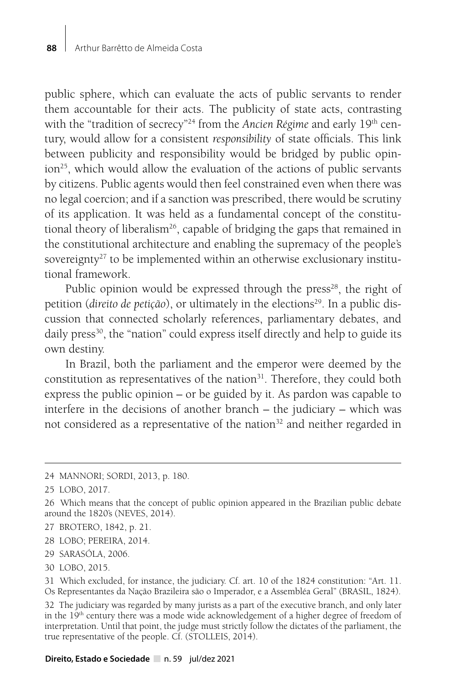public sphere, which can evaluate the acts of public servants to render them accountable for their acts. The publicity of state acts, contrasting with the "tradition of secrecy"<sup>24</sup> from the *Ancien Régime* and early 19<sup>th</sup> century, would allow for a consistent *responsibility* of state officials. This link between publicity and responsibility would be bridged by public opinion<sup>25</sup>, which would allow the evaluation of the actions of public servants by citizens. Public agents would then feel constrained even when there was no legal coercion; and if a sanction was prescribed, there would be scrutiny of its application. It was held as a fundamental concept of the constitutional theory of liberalism<sup>26</sup>, capable of bridging the gaps that remained in the constitutional architecture and enabling the supremacy of the people's sovereignty<sup>27</sup> to be implemented within an otherwise exclusionary institutional framework.

Public opinion would be expressed through the press<sup>28</sup>, the right of petition (*direito de petição*), or ultimately in the elections<sup>29</sup>. In a public discussion that connected scholarly references, parliamentary debates, and daily press<sup>30</sup>, the "nation" could express itself directly and help to guide its own destiny.

In Brazil, both the parliament and the emperor were deemed by the constitution as representatives of the nation<sup>31</sup>. Therefore, they could both express the public opinion – or be guided by it. As pardon was capable to interfere in the decisions of another branch – the judiciary – which was not considered as a representative of the nation<sup>32</sup> and neither regarded in

- 27 BROTERO, 1842, p. 21.
- 28 LOBO; PEREIRA, 2014.
- 29 SARASÓLA, 2006.
- 30 LOBO, 2015.

<sup>24</sup> MANNORI; SORDI, 2013, p. 180.

<sup>25</sup> LOBO, 2017.

<sup>26</sup> Which means that the concept of public opinion appeared in the Brazilian public debate around the 1820's (NEVES, 2014).

<sup>31</sup> Which excluded, for instance, the judiciary. Cf. art. 10 of the 1824 constitution: "Art. 11. Os Representantes da Nação Brazileira são o Imperador, e a Assembléa Geral" (BRASIL, 1824).

<sup>32</sup> The judiciary was regarded by many jurists as a part of the executive branch, and only later in the 19<sup>th</sup> century there was a mode wide acknowledgement of a higher degree of freedom of interpretation. Until that point, the judge must strictly follow the dictates of the parliament, the true representative of the people. Cf. (STOLLEIS, 2014).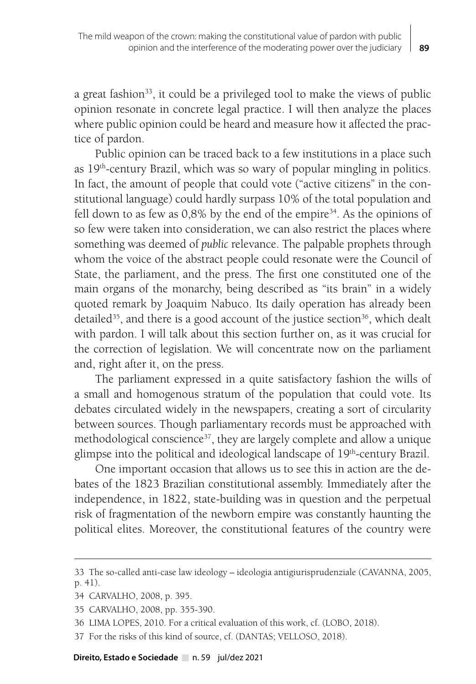a great fashion<sup>33</sup>, it could be a privileged tool to make the views of public opinion resonate in concrete legal practice. I will then analyze the places where public opinion could be heard and measure how it affected the practice of pardon.

Public opinion can be traced back to a few institutions in a place such as  $19<sup>th</sup>$ -century Brazil, which was so wary of popular mingling in politics. In fact, the amount of people that could vote ("active citizens" in the constitutional language) could hardly surpass 10% of the total population and fell down to as few as  $0.8\%$  by the end of the empire<sup>34</sup>. As the opinions of so few were taken into consideration, we can also restrict the places where something was deemed of *public* relevance. The palpable prophets through whom the voice of the abstract people could resonate were the Council of State, the parliament, and the press. The first one constituted one of the main organs of the monarchy, being described as "its brain" in a widely quoted remark by Joaquim Nabuco. Its daily operation has already been detailed<sup>35</sup>, and there is a good account of the justice section<sup>36</sup>, which dealt with pardon. I will talk about this section further on, as it was crucial for the correction of legislation. We will concentrate now on the parliament and, right after it, on the press.

The parliament expressed in a quite satisfactory fashion the wills of a small and homogenous stratum of the population that could vote. Its debates circulated widely in the newspapers, creating a sort of circularity between sources. Though parliamentary records must be approached with methodological conscience<sup>37</sup>, they are largely complete and allow a unique glimpse into the political and ideological landscape of 19<sup>th</sup>-century Brazil.

One important occasion that allows us to see this in action are the debates of the 1823 Brazilian constitutional assembly. Immediately after the independence, in 1822, state-building was in question and the perpetual risk of fragmentation of the newborn empire was constantly haunting the political elites. Moreover, the constitutional features of the country were

<sup>33</sup> The so-called anti-case law ideology – ideologia antigiurisprudenziale (CAVANNA, 2005, p. 41).

<sup>34</sup> CARVALHO, 2008, p. 395.

<sup>35</sup> CARVALHO, 2008, pp. 355-390.

<sup>36</sup> LIMA LOPES, 2010. For a critical evaluation of this work, cf. (LOBO, 2018).

<sup>37</sup> For the risks of this kind of source, cf. (DANTAS; VELLOSO, 2018).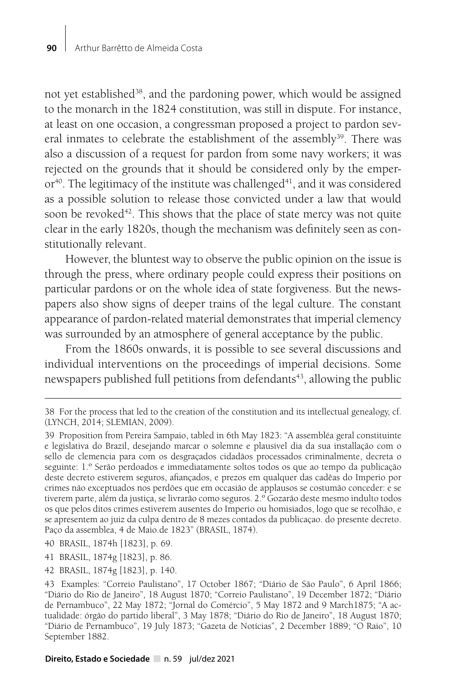not yet established<sup>38</sup>, and the pardoning power, which would be assigned to the monarch in the 1824 constitution, was still in dispute. For instance, at least on one occasion, a congressman proposed a project to pardon several inmates to celebrate the establishment of the assembly<sup>39</sup>. There was also a discussion of a request for pardon from some navy workers; it was rejected on the grounds that it should be considered only by the emper $or<sup>40</sup>$ . The legitimacy of the institute was challenged<sup>41</sup>, and it was considered as a possible solution to release those convicted under a law that would soon be revoked<sup>42</sup>. This shows that the place of state mercy was not quite clear in the early 1820s, though the mechanism was definitely seen as constitutionally relevant.

However, the bluntest way to observe the public opinion on the issue is through the press, where ordinary people could express their positions on particular pardons or on the whole idea of state forgiveness. But the newspapers also show signs of deeper trains of the legal culture. The constant appearance of pardon-related material demonstrates that imperial clemency was surrounded by an atmosphere of general acceptance by the public.

From the 1860s onwards, it is possible to see several discussions and individual interventions on the proceedings of imperial decisions. Some newspapers published full petitions from defendants<sup>43</sup>, allowing the public

- 41 BRASIL, 1874g [1823], p. 86.
- 42 BRASIL, 1874g [1823], p. 140.

<sup>38</sup> For the process that led to the creation of the constitution and its intellectual genealogy, cf. (LYNCH, 2014; SLEMIAN, 2009).

<sup>39</sup> Proposition from Pereira Sampaio, tabled in 6th May 1823: "A assembléa geral constituinte e legislativa do Brazil, desejando marcar o solemne e plausivel dia da sua installação com o sello de clemencia para com os desgraçados cidadãos processados criminalmente, decreta o seguinte: 1.º Serão perdoados e immediatamente soltos todos os que ao tempo da publicação deste decreto estiverem seguros, afiançados, e prezos em qualquer das cadêas do Imperio por crimes não exceptuados nos perdões que em occasião de applausos se costumão conceder: e se tiverem parte, além da justiça, se livrarão como seguros. 2.º Gozarão deste mesmo indulto todos os que pelos ditos crimes estiverem ausentes do Imperio ou homisiados, logo que se recolhão, e se apresentem ao juiz da culpa dentro de 8 mezes contados da publicaçao. do presente decreto. Paço da assemblea, 4 de Maio.de 1823" (BRASIL, 1874).

<sup>40</sup> BRASIL, 1874h [1823], p. 69.

<sup>43</sup> Examples: "Correio Paulistano", 17 October 1867; "Diário de São Paulo", 6 April 1866; "Diário do Rio de Janeiro", 18 August 1870; "Correio Paulistano", 19 December 1872; "Diário de Pernambuco", 22 May 1872; "Jornal do Comércio", 5 May 1872 and 9 March1875; "A actualidade: órgão do partido liberal", 3 May 1878; "Diário do Rio de Janeiro", 18 August 1870; "Diário de Pernambuco", 19 July 1873; "Gazeta de Notícias", 2 December 1889; "O Raio", 10 September 1882.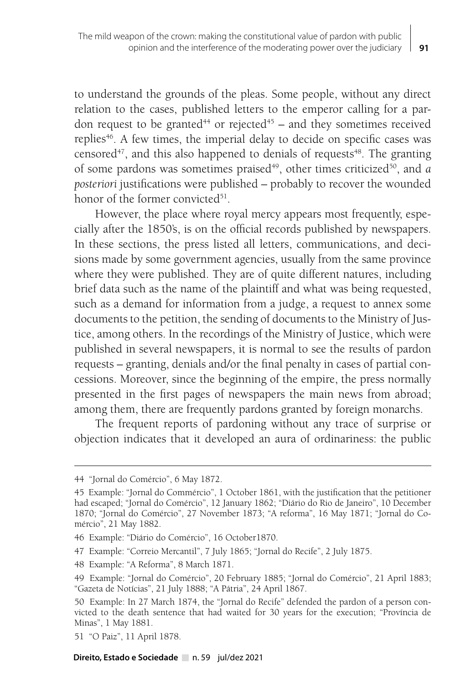to understand the grounds of the pleas. Some people, without any direct relation to the cases, published letters to the emperor calling for a pardon request to be granted<sup>44</sup> or rejected<sup>45</sup> – and they sometimes received replies<sup>46</sup>. A few times, the imperial delay to decide on specific cases was censored $47$ , and this also happened to denials of requests $48$ . The granting of some pardons was sometimes praised<sup>49</sup>, other times criticized<sup>50</sup>, and *a* posteriori justifications were published - probably to recover the wounded honor of the former convicted<sup>51</sup>.

However, the place where royal mercy appears most frequently, especially after the 1850's, is on the official records published by newspapers. In these sections, the press listed all letters, communications, and decisions made by some government agencies, usually from the same province where they were published. They are of quite different natures, including brief data such as the name of the plaintiff and what was being requested, such as a demand for information from a judge, a request to annex some documents to the petition, the sending of documents to the Ministry of Justice, among others. In the recordings of the Ministry of Justice, which were published in several newspapers, it is normal to see the results of pardon requests – granting, denials and/or the final penalty in cases of partial concessions. Moreover, since the beginning of the empire, the press normally presented in the first pages of newspapers the main news from abroad; among them, there are frequently pardons granted by foreign monarchs.

The frequent reports of pardoning without any trace of surprise or objection indicates that it developed an aura of ordinariness: the public

<sup>44 &</sup>quot;Jornal do Comércio", 6 May 1872.

<sup>45</sup> Example: "Jornal do Commércio", 1 October 1861, with the justification that the petitioner had escaped; "Jornal do Comércio", 12 January 1862; "Diário do Rio de Janeiro", 10 December 1870; "Jornal do Comércio", 27 November 1873; "A reforma", 16 May 1871; "Jornal do Comércio", 21 May 1882.

<sup>46</sup> Example: "Diário do Comércio", 16 October1870.

<sup>47</sup> Example: "Correio Mercantil", 7 July 1865; "Jornal do Recife", 2 July 1875.

<sup>48</sup> Example: "A Reforma", 8 March 1871.

<sup>49</sup> Example: "Jornal do Comércio", 20 February 1885; "Jornal do Comércio", 21 April 1883; "Gazeta de Notícias", 21 July 1888; "A Pátria", 24 April 1867.

<sup>50</sup> Example: In 27 March 1874, the "Jornal do Recife" defended the pardon of a person convicted to the death sentence that had waited for 30 years for the execution; "Província de Minas", 1 May 1881.

<sup>51 &</sup>quot;O Paiz", 11 April 1878.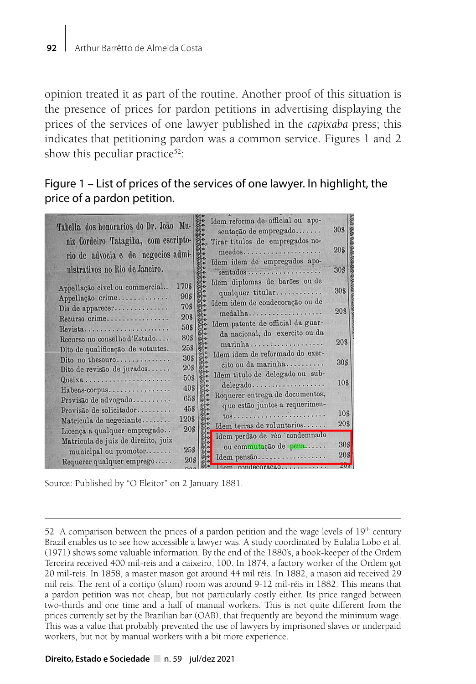opinion treated it as part of the routine. Another proof of this situation is the presence of prices for pardon petitions in advertising displaying the prices of the services of one lawyer published in the *capixaba* press; this indicates that petitioning pardon was a common service. Figures 1 and 2 show this peculiar practice<sup>52</sup>:

# Figure 1 – List of prices of the services of one lawyer. In highlight, the price of a pardon petition.

| Tabella dos honorarios do Dr. João Mu- |       | Idem reforma de official ou apo-           |                 |
|----------------------------------------|-------|--------------------------------------------|-----------------|
|                                        |       | sentação de empregado                      | 30 <sub>5</sub> |
| niz Cordeiro Tatagiba, com escripto-   |       | Tirar titulos de empregados no-            |                 |
| rio de advocia e de negocios admi-     |       | meados                                     | 20\$            |
|                                        |       | Idem idem de empregados apo-               |                 |
| nistrativos no Rio de Janeiro.         |       | sentados                                   | 30\$            |
| Appellação civel ou commercial         | 1708  | Idem diplomas de barões ou de              |                 |
|                                        | 90\$  | qualquer titular                           | 30\$            |
| Appellação crime                       | 70\$  | Idem idem de condecoração ou de            |                 |
| Dia de apparecer                       | 20\$  | medalha                                    | 20\$            |
| Recurso crime                          |       | Idem patente de official da guar-          |                 |
| Revista                                | 50\$  | da nacional, do exercito ou da             |                 |
| Recurso no conselho d'Estado           | 80\$  | marinha                                    | 20\$            |
| Dito de qualificação de votantes.      | 258   | Idem idem de reformado do exer-            |                 |
| Dito no thesouro                       | 30\$  | cito ou da marinha                         | 30\$            |
| Dito de revisão de jurados             | 20\$  | Idem titulo de delegado ou sub-            |                 |
| Queixa                                 | 50\$  | delegado                                   | 10\$            |
| Habeas-corpus                          | 40\$  |                                            |                 |
| Provisão de advogado                   | 65\$  | Requerer entrega de documentos,            |                 |
| Provisão de solicitador                | 458   | que estão juntos a requerimen-             | 10\$            |
| Matricula de negeciante                | 120\$ |                                            |                 |
| Licença a qualquer empregado           | 20\$  | Idem terras de voluntarios                 | 20\$            |
| Matricula de juiz de direiito, juiz    |       | Idem perdão de réo condemnado              |                 |
| municipal ou promotor                  | 25\$  | ou commutação de pena                      | 30\$            |
| Requerer qualquer emprego              | 20\$  | Idem pensão                                | 20 <sub>8</sub> |
|                                        |       | <b>Elana condoconochio esse servizioni</b> | <b>ZAVN</b>     |

Source: Published by "O Eleitor" on 2 January 1881.

<sup>52</sup> A comparison between the prices of a pardon petition and the wage levels of  $19<sup>th</sup>$  century Brazil enables us to see how accessible a lawyer was. A study coordinated by Eulalia Lobo et al. (1971) shows some valuable information. By the end of the 1880's, a book-keeper of the Ordem Terceira received 400 mil-reis and a caixeiro, 100. In 1874, a factory worker of the Ordem got 20 mil-reis. In 1858, a master mason got around 44 mil réis. In 1882, a mason aid received 29 mil reis. The rent of a cortiço (slum) room was around 9-12 mil-réis in 1882. This means that a pardon petition was not cheap, but not particularly costly either. Its price ranged between two-thirds and one time and a half of manual workers. This is not quite different from the prices currently set by the Brazilian bar (OAB), that frequently are beyond the minimum wage. This was a value that probably prevented the use of lawyers by imprisoned slaves or underpaid workers, but not by manual workers with a bit more experience.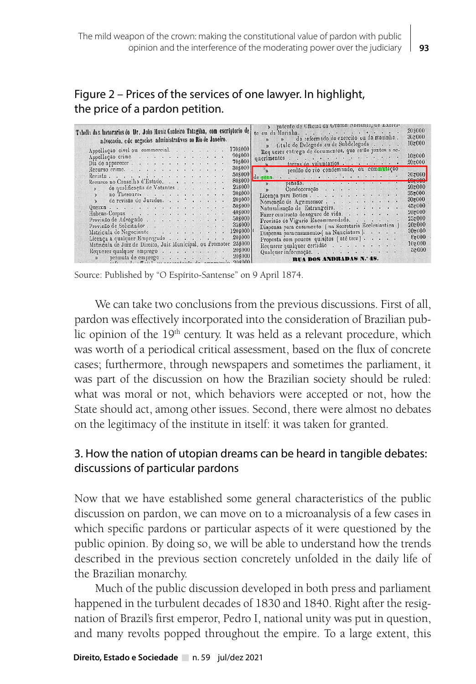| Figure 2 – Prices of the services of one lawyer. In highlight, |
|----------------------------------------------------------------|
| the price of a pardon petition.                                |

| » patente de Cfficial da Guaron Ivacional, de Exerci-<br>Tabella dos honorarios do Dr. João Huniz Cordeiro Tatagiba, com escriptorio de<br>to ou da Marinha.<br>» de reformado do exercito ou da marinha.<br>advocacia, e de negocios administrativos no Rio de Janeiro.<br>» titulo de Delegado ou de Subdelegado<br>1705000<br>Appellação civel ou commercial.<br>Requerer entrega de documentos, que estão juntos a re-<br>908000<br>Appellação crimo.<br>querimentos<br>708000<br>terras de voluntarios<br>Dia de apparecer. | 20\$000<br>362000<br>102000<br>10:000<br>20:000 |
|----------------------------------------------------------------------------------------------------------------------------------------------------------------------------------------------------------------------------------------------------------------------------------------------------------------------------------------------------------------------------------------------------------------------------------------------------------------------------------------------------------------------------------|-------------------------------------------------|
| 30\$000<br>$\mathbf{v}$<br>perdão do réo condemnado, ou commutação<br>Recurso crime.<br>508000<br>Revista<br>de pena.<br>808000                                                                                                                                                                                                                                                                                                                                                                                                  | 30z000<br>£0,000                                |
| Recurso no Conselho d'Estado.<br>pensão.<br>258000<br>de qualificação de Votantes<br>30\$000<br>no Thesouro.<br>Licença para Botica.<br>20s000<br>de revisão de Jurados.                                                                                                                                                                                                                                                                                                                                                         | 20±000<br>35,000<br>30:000                      |
| Nomencão de Agrimensor<br>50\$000<br>Queixa<br>Naturalisação de Estrangeiro. :<br>40\$000<br>Habeas-Corpus<br>Fazer contracto de seguro de vida.<br>508000<br>Provisão de Advogado<br>Provisão de Vigario Encommendado.                                                                                                                                                                                                                                                                                                          | 45z000<br>20z000<br>$25 - 000$                  |
| 358000<br>Provisão de Solicitador<br>Dispensa para casamento (na Secretaria Ecclesiastica)<br>120\$000<br>Matricula de Negociante<br>Dispensa para casamento (na Nunciatura).<br>208000<br>Licenca a qualquer Empregado<br>Proposta com poucos quisitos (até trez)                                                                                                                                                                                                                                                               | 20z000<br>30:000<br>8:000                       |
| 25\$000<br>Matricula de Juiz de Direito, Juiz Municipal, ou Promotor<br>Requerer qualquer certidão<br>208000<br>Requerer qualquer emprego<br>Qualquer informação.<br>208000<br>RUA DOS ANDRADAS N.º 48.<br>900000                                                                                                                                                                                                                                                                                                                | 10:000<br>55000                                 |

Source: Published by "O Espírito-Santense" on 9 April 1874.

We can take two conclusions from the previous discussions. First of all, pardon was effectively incorporated into the consideration of Brazilian public opinion of the 19<sup>th</sup> century. It was held as a relevant procedure, which was worth of a periodical critical assessment, based on the flux of concrete cases; furthermore, through newspapers and sometimes the parliament, it was part of the discussion on how the Brazilian society should be ruled: what was moral or not, which behaviors were accepted or not, how the State should act, among other issues. Second, there were almost no debates on the legitimacy of the institute in itself: it was taken for granted.

### 3. How the nation of utopian dreams can be heard in tangible debates: discussions of particular pardons

Now that we have established some general characteristics of the public discussion on pardon, we can move on to a microanalysis of a few cases in which specific pardons or particular aspects of it were questioned by the public opinion. By doing so, we will be able to understand how the trends described in the previous section concretely unfolded in the daily life of the Brazilian monarchy.

Much of the public discussion developed in both press and parliament happened in the turbulent decades of 1830 and 1840. Right after the resignation of Brazil's first emperor, Pedro I, national unity was put in question, and many revolts popped throughout the empire. To a large extent, this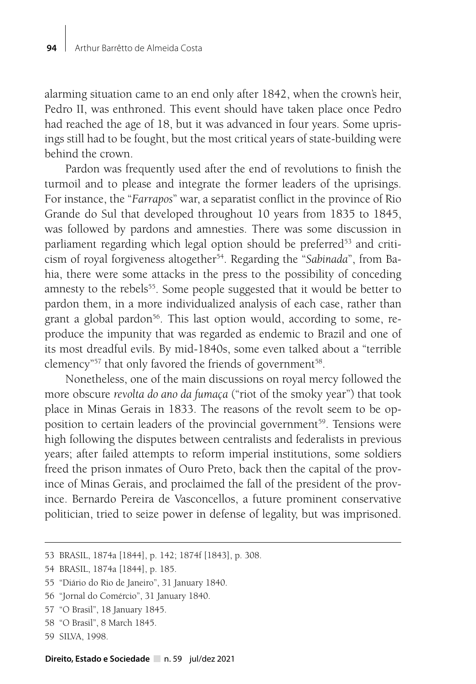alarming situation came to an end only after 1842, when the crown's heir, Pedro II, was enthroned. This event should have taken place once Pedro had reached the age of 18, but it was advanced in four years. Some uprisings still had to be fought, but the most critical years of state-building were behind the crown.

Pardon was frequently used after the end of revolutions to finish the turmoil and to please and integrate the former leaders of the uprisings. For instance, the "*Farrapos*" war, a separatist conflict in the province of Rio Grande do Sul that developed throughout 10 years from 1835 to 1845, was followed by pardons and amnesties. There was some discussion in parliament regarding which legal option should be preferred<sup>53</sup> and criticism of royal forgiveness altogether<sup>54</sup>. Regarding the "*Sabinada*", from Bahia, there were some attacks in the press to the possibility of conceding amnesty to the rebels<sup>55</sup>. Some people suggested that it would be better to pardon them, in a more individualized analysis of each case, rather than grant a global pardon<sup>56</sup>. This last option would, according to some, reproduce the impunity that was regarded as endemic to Brazil and one of its most dreadful evils. By mid-1840s, some even talked about a "terrible clemency"<sup>57</sup> that only favored the friends of government<sup>58</sup>.

Nonetheless, one of the main discussions on royal mercy followed the more obscure *revolta do ano da fumaça* ("riot of the smoky year") that took place in Minas Gerais in 1833. The reasons of the revolt seem to be opposition to certain leaders of the provincial government<sup>59</sup>. Tensions were high following the disputes between centralists and federalists in previous years; after failed attempts to reform imperial institutions, some soldiers freed the prison inmates of Ouro Preto, back then the capital of the province of Minas Gerais, and proclaimed the fall of the president of the province. Bernardo Pereira de Vasconcellos, a future prominent conservative politician, tried to seize power in defense of legality, but was imprisoned.

- 54 BRASIL, 1874a [1844], p. 185.
- 55 "Diário do Rio de Janeiro", 31 January 1840.
- 56 "Jornal do Comércio", 31 January 1840.
- 57 "O Brasil", 18 January 1845.
- 58 "O Brasil", 8 March 1845.
- 59 SILVA, 1998.

<sup>53</sup> BRASIL, 1874a [1844], p. 142; 1874f [1843], p. 308.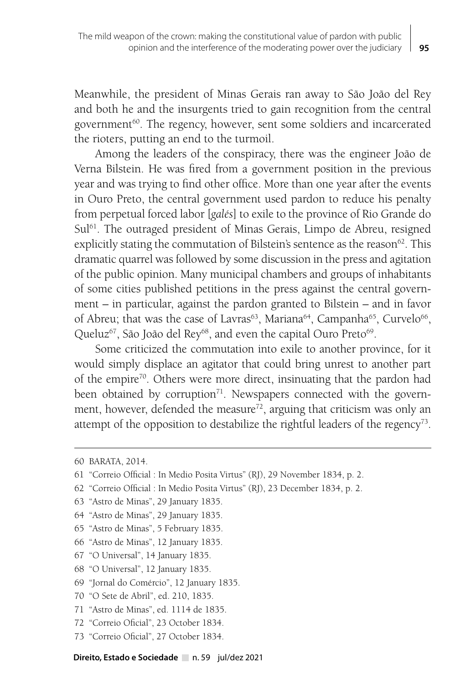Meanwhile, the president of Minas Gerais ran away to São João del Rey and both he and the insurgents tried to gain recognition from the central government<sup>60</sup>. The regency, however, sent some soldiers and incarcerated the rioters, putting an end to the turmoil.

Among the leaders of the conspiracy, there was the engineer João de Verna Bilstein. He was fired from a government position in the previous year and was trying to find other office. More than one year after the events in Ouro Preto, the central government used pardon to reduce his penalty from perpetual forced labor [*galés*] to exile to the province of Rio Grande do Sul<sup>61</sup>. The outraged president of Minas Gerais, Limpo de Abreu, resigned explicitly stating the commutation of Bilstein's sentence as the reason<sup>62</sup>. This dramatic quarrel was followed by some discussion in the press and agitation of the public opinion. Many municipal chambers and groups of inhabitants of some cities published petitions in the press against the central government – in particular, against the pardon granted to Bilstein – and in favor of Abreu; that was the case of Lavras<sup>63</sup>, Mariana<sup>64</sup>, Campanha<sup>65</sup>, Curvelo<sup>66</sup>, Queluz<sup>67</sup>, São João del Rey<sup>68</sup>, and even the capital Ouro Preto<sup>69</sup>.

Some criticized the commutation into exile to another province, for it would simply displace an agitator that could bring unrest to another part of the empire<sup>70</sup>. Others were more direct, insinuating that the pardon had been obtained by corruption<sup>71</sup>. Newspapers connected with the government, however, defended the measure<sup>72</sup>, arguing that criticism was only an attempt of the opposition to destabilize the rightful leaders of the regency<sup>73</sup>.

- 64 "Astro de Minas", 29 January 1835.
- 65 "Astro de Minas", 5 February 1835.
- 66 "Astro de Minas", 12 January 1835.
- 67 "O Universal", 14 January 1835.
- 68 "O Universal", 12 January 1835.
- 69 "Jornal do Comércio", 12 January 1835.
- 70 "O Sete de Abril", ed. 210, 1835.
- 71 "Astro de Minas", ed. 1114 de 1835.
- 72 "Correio Oficial", 23 October 1834.
- 73 "Correio Oficial", 27 October 1834.

Direito, Estado e Sociedade n. 59 jul/dez 2021

<sup>60</sup> BARATA, 2014.

<sup>61 &</sup>quot;Correio Official : In Medio Posita Virtus" (RJ), 29 November 1834, p. 2.

<sup>62 &</sup>quot;Correio Official : In Medio Posita Virtus" (RJ), 23 December 1834, p. 2.

<sup>63 &</sup>quot;Astro de Minas", 29 January 1835.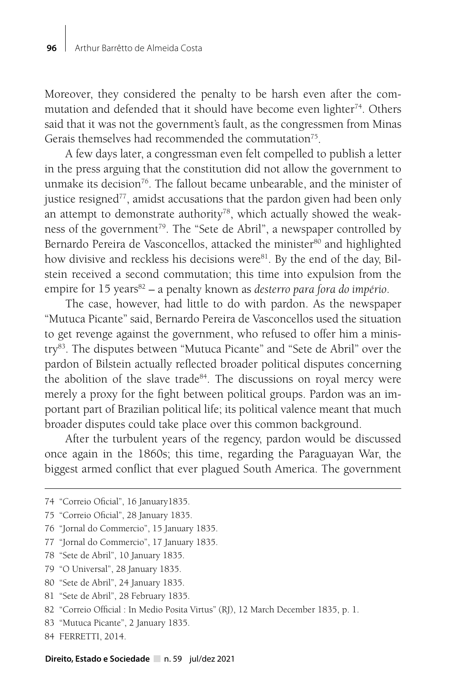Moreover, they considered the penalty to be harsh even after the commutation and defended that it should have become even lighter<sup>74</sup>. Others said that it was not the government's fault, as the congressmen from Minas Gerais themselves had recommended the commutation<sup>75</sup>.

A few days later, a congressman even felt compelled to publish a letter in the press arguing that the constitution did not allow the government to unmake its decision<sup>76</sup>. The fallout became unbearable, and the minister of justice resigned<sup>77</sup>, amidst accusations that the pardon given had been only an attempt to demonstrate authority<sup>78</sup>, which actually showed the weakness of the government<sup>79</sup>. The "Sete de Abril", a newspaper controlled by Bernardo Pereira de Vasconcellos, attacked the minister<sup>80</sup> and highlighted how divisive and reckless his decisions were<sup>81</sup>. By the end of the day, Bilstein received a second commutation; this time into expulsion from the empire for 15 years<sup>82</sup> – a penalty known as *desterro para fora do império*.

The case, however, had little to do with pardon. As the newspaper "Mutuca Picante" said, Bernardo Pereira de Vasconcellos used the situation to get revenge against the government, who refused to offer him a ministry83. The disputes between "Mutuca Picante" and "Sete de Abril" over the pardon of Bilstein actually reflected broader political disputes concerning the abolition of the slave trade<sup>84</sup>. The discussions on royal mercy were merely a proxy for the fight between political groups. Pardon was an important part of Brazilian political life; its political valence meant that much broader disputes could take place over this common background.

After the turbulent years of the regency, pardon would be discussed once again in the 1860s; this time, regarding the Paraguayan War, the biggest armed conflict that ever plagued South America. The government

- 79 "O Universal", 28 January 1835.
- 80 "Sete de Abril", 24 January 1835.
- 81 "Sete de Abril", 28 February 1835.
- 82 "Correio Official : In Medio Posita Virtus" (RJ), 12 March December 1835, p. 1.
- 83 "Mutuca Picante", 2 January 1835.
- 84 FERRETTI, 2014.

<sup>74 &</sup>quot;Correio Oficial", 16 January1835.

<sup>75 &</sup>quot;Correio Oficial", 28 January 1835.

<sup>76 &</sup>quot;Jornal do Commercio", 15 January 1835.

<sup>77 &</sup>quot;Jornal do Commercio", 17 January 1835.

<sup>78 &</sup>quot;Sete de Abril", 10 January 1835.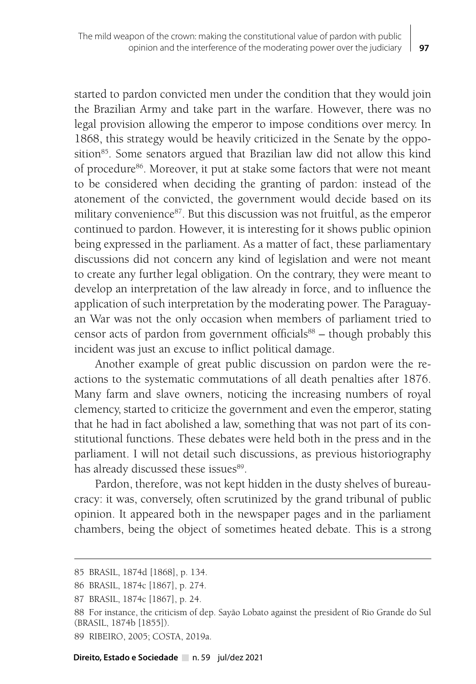started to pardon convicted men under the condition that they would join the Brazilian Army and take part in the warfare. However, there was no legal provision allowing the emperor to impose conditions over mercy. In 1868, this strategy would be heavily criticized in the Senate by the opposition<sup>85</sup>. Some senators argued that Brazilian law did not allow this kind of procedure<sup>86</sup>. Moreover, it put at stake some factors that were not meant to be considered when deciding the granting of pardon: instead of the atonement of the convicted, the government would decide based on its military convenience<sup>87</sup>. But this discussion was not fruitful, as the emperor continued to pardon. However, it is interesting for it shows public opinion being expressed in the parliament. As a matter of fact, these parliamentary discussions did not concern any kind of legislation and were not meant to create any further legal obligation. On the contrary, they were meant to develop an interpretation of the law already in force, and to influence the application of such interpretation by the moderating power. The Paraguayan War was not the only occasion when members of parliament tried to censor acts of pardon from government officials<sup>88</sup> – though probably this incident was just an excuse to inflict political damage.

Another example of great public discussion on pardon were the reactions to the systematic commutations of all death penalties after 1876. Many farm and slave owners, noticing the increasing numbers of royal clemency, started to criticize the government and even the emperor, stating that he had in fact abolished a law, something that was not part of its constitutional functions. These debates were held both in the press and in the parliament. I will not detail such discussions, as previous historiography has already discussed these issues<sup>89</sup>.

Pardon, therefore, was not kept hidden in the dusty shelves of bureaucracy: it was, conversely, often scrutinized by the grand tribunal of public opinion. It appeared both in the newspaper pages and in the parliament chambers, being the object of sometimes heated debate. This is a strong

<sup>85</sup> BRASIL, 1874d [1868], p. 134.

<sup>86</sup> BRASIL, 1874c [1867], p. 274.

<sup>87</sup> BRASIL, 1874c [1867], p. 24.

<sup>88</sup> For instance, the criticism of dep. Sayão Lobato against the president of Rio Grande do Sul (BRASIL, 1874b [1855]).

<sup>89</sup> RIBEIRO, 2005; COSTA, 2019a.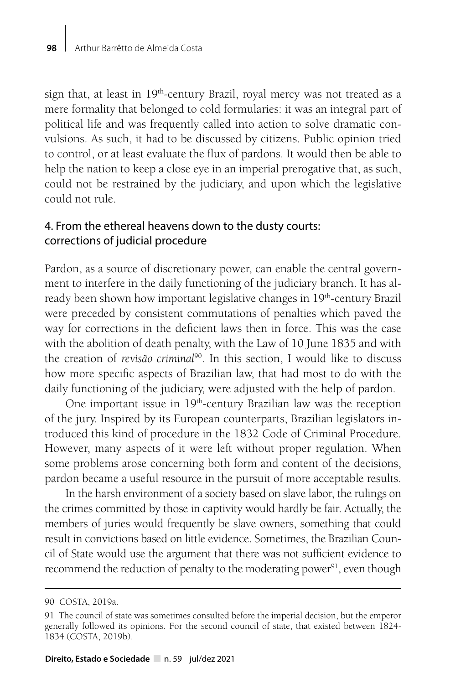sign that, at least in 19<sup>th</sup>-century Brazil, royal mercy was not treated as a mere formality that belonged to cold formularies: it was an integral part of political life and was frequently called into action to solve dramatic convulsions. As such, it had to be discussed by citizens. Public opinion tried to control, or at least evaluate the flux of pardons. It would then be able to help the nation to keep a close eye in an imperial prerogative that, as such, could not be restrained by the judiciary, and upon which the legislative could not rule.

# 4. From the ethereal heavens down to the dusty courts: corrections of judicial procedure

Pardon, as a source of discretionary power, can enable the central government to interfere in the daily functioning of the judiciary branch. It has already been shown how important legislative changes in 19<sup>th</sup>-century Brazil were preceded by consistent commutations of penalties which paved the way for corrections in the deficient laws then in force. This was the case with the abolition of death penalty, with the Law of 10 June 1835 and with the creation of *revisão criminal*90. In this section, I would like to discuss how more specific aspects of Brazilian law, that had most to do with the daily functioning of the judiciary, were adjusted with the help of pardon.

One important issue in 19<sup>th</sup>-century Brazilian law was the reception of the jury. Inspired by its European counterparts, Brazilian legislators introduced this kind of procedure in the 1832 Code of Criminal Procedure. However, many aspects of it were left without proper regulation. When some problems arose concerning both form and content of the decisions, pardon became a useful resource in the pursuit of more acceptable results.

In the harsh environment of a society based on slave labor, the rulings on the crimes committed by those in captivity would hardly be fair. Actually, the members of juries would frequently be slave owners, something that could result in convictions based on little evidence. Sometimes, the Brazilian Council of State would use the argument that there was not sufficient evidence to recommend the reduction of penalty to the moderating power<sup>91</sup>, even though

<sup>90</sup> COSTA, 2019a.

<sup>91</sup> The council of state was sometimes consulted before the imperial decision, but the emperor generally followed its opinions. For the second council of state, that existed between 1824- 1834 (COSTA, 2019b).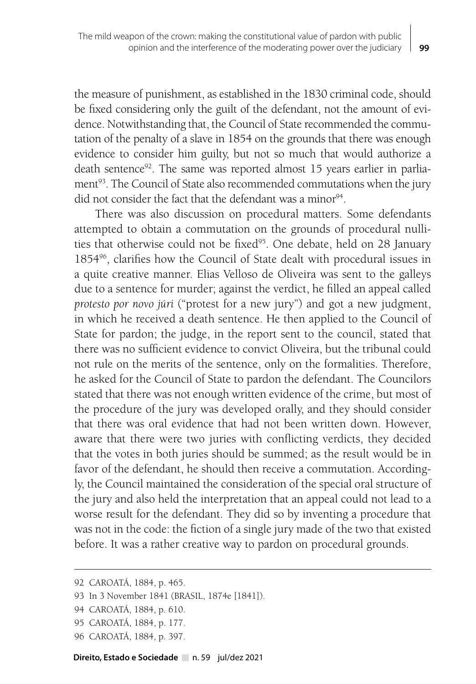the measure of punishment, as established in the 1830 criminal code, should be fixed considering only the guilt of the defendant, not the amount of evidence. Notwithstanding that, the Council of State recommended the commutation of the penalty of a slave in 1854 on the grounds that there was enough evidence to consider him guilty, but not so much that would authorize a death sentence<sup>92</sup>. The same was reported almost 15 years earlier in parliament<sup>93</sup>. The Council of State also recommended commutations when the jury did not consider the fact that the defendant was a minor  $94$ .

There was also discussion on procedural matters. Some defendants attempted to obtain a commutation on the grounds of procedural nullities that otherwise could not be fixed<sup>95</sup>. One debate, held on 28 January 185496, clarifies how the Council of State dealt with procedural issues in a quite creative manner. Elias Velloso de Oliveira was sent to the galleys due to a sentence for murder; against the verdict, he filled an appeal called *protesto por novo júri* ("protest for a new jury") and got a new judgment, in which he received a death sentence. He then applied to the Council of State for pardon; the judge, in the report sent to the council, stated that there was no sufficient evidence to convict Oliveira, but the tribunal could not rule on the merits of the sentence, only on the formalities. Therefore, he asked for the Council of State to pardon the defendant. The Councilors stated that there was not enough written evidence of the crime, but most of the procedure of the jury was developed orally, and they should consider that there was oral evidence that had not been written down. However, aware that there were two juries with conflicting verdicts, they decided that the votes in both juries should be summed; as the result would be in favor of the defendant, he should then receive a commutation. Accordingly, the Council maintained the consideration of the special oral structure of the jury and also held the interpretation that an appeal could not lead to a worse result for the defendant. They did so by inventing a procedure that was not in the code: the fiction of a single jury made of the two that existed before. It was a rather creative way to pardon on procedural grounds.

<sup>92</sup> CAROATÁ, 1884, p. 465.

<sup>93</sup> In 3 November 1841 (BRASIL, 1874e [1841]).

<sup>94</sup> CAROATÁ, 1884, p. 610.

<sup>95</sup> CAROATÁ, 1884, p. 177.

<sup>96</sup> CAROATÁ, 1884, p. 397.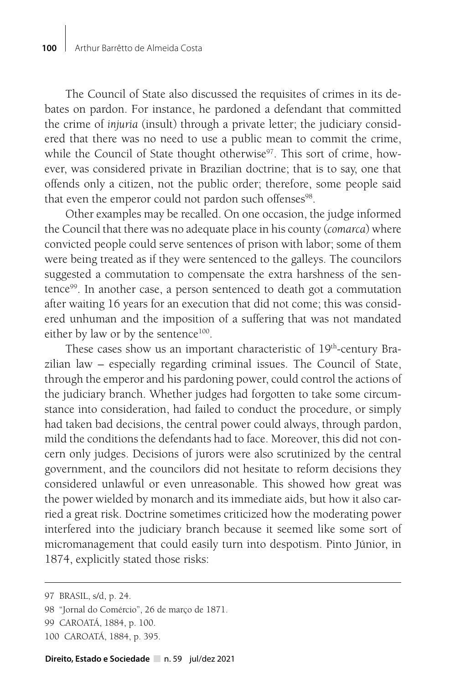The Council of State also discussed the requisites of crimes in its debates on pardon. For instance, he pardoned a defendant that committed the crime of *injuria* (insult) through a private letter; the judiciary considered that there was no need to use a public mean to commit the crime, while the Council of State thought otherwise<sup>97</sup>. This sort of crime, however, was considered private in Brazilian doctrine; that is to say, one that offends only a citizen, not the public order; therefore, some people said that even the emperor could not pardon such offenses<sup>98</sup>.

Other examples may be recalled. On one occasion, the judge informed the Council that there was no adequate place in his county (*comarca*) where convicted people could serve sentences of prison with labor; some of them were being treated as if they were sentenced to the galleys. The councilors suggested a commutation to compensate the extra harshness of the sentence99. In another case, a person sentenced to death got a commutation after waiting 16 years for an execution that did not come; this was considered unhuman and the imposition of a suffering that was not mandated either by law or by the sentence<sup>100</sup>.

These cases show us an important characteristic of 19<sup>th</sup>-century Brazilian law – especially regarding criminal issues. The Council of State, through the emperor and his pardoning power, could control the actions of the judiciary branch. Whether judges had forgotten to take some circumstance into consideration, had failed to conduct the procedure, or simply had taken bad decisions, the central power could always, through pardon, mild the conditions the defendants had to face. Moreover, this did not concern only judges. Decisions of jurors were also scrutinized by the central government, and the councilors did not hesitate to reform decisions they considered unlawful or even unreasonable. This showed how great was the power wielded by monarch and its immediate aids, but how it also carried a great risk. Doctrine sometimes criticized how the moderating power interfered into the judiciary branch because it seemed like some sort of micromanagement that could easily turn into despotism. Pinto Júnior, in 1874, explicitly stated those risks:

<sup>97</sup> BRASIL, s/d, p. 24.

<sup>98 &</sup>quot;Jornal do Comércio", 26 de março de 1871.

<sup>99</sup> CAROATÁ, 1884, p. 100.

<sup>100</sup> CAROATÁ, 1884, p. 395.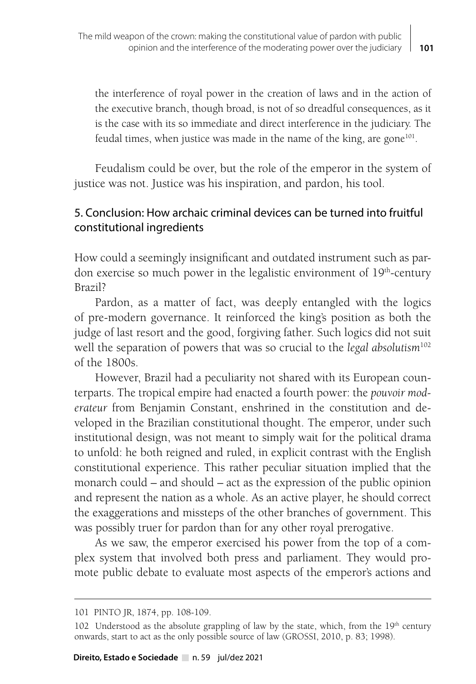the interference of royal power in the creation of laws and in the action of the executive branch, though broad, is not of so dreadful consequences, as it is the case with its so immediate and direct interference in the judiciary. The feudal times, when justice was made in the name of the king, are gone $101$ .

Feudalism could be over, but the role of the emperor in the system of justice was not. Justice was his inspiration, and pardon, his tool.

#### 5. Conclusion: How archaic criminal devices can be turned into fruitful constitutional ingredients

How could a seemingly insignificant and outdated instrument such as pardon exercise so much power in the legalistic environment of 19<sup>th</sup>-century Brazil?

Pardon, as a matter of fact, was deeply entangled with the logics of pre-modern governance. It reinforced the king's position as both the judge of last resort and the good, forgiving father. Such logics did not suit well the separation of powers that was so crucial to the *legal absolutism*<sup>102</sup> of the 1800s.

However, Brazil had a peculiarity not shared with its European counterparts. The tropical empire had enacted a fourth power: the *pouvoir moderateur* from Benjamin Constant, enshrined in the constitution and developed in the Brazilian constitutional thought. The emperor, under such institutional design, was not meant to simply wait for the political drama to unfold: he both reigned and ruled, in explicit contrast with the English constitutional experience. This rather peculiar situation implied that the monarch could – and should – act as the expression of the public opinion and represent the nation as a whole. As an active player, he should correct the exaggerations and missteps of the other branches of government. This was possibly truer for pardon than for any other royal prerogative.

As we saw, the emperor exercised his power from the top of a complex system that involved both press and parliament. They would promote public debate to evaluate most aspects of the emperor's actions and

<sup>101</sup> PINTO JR, 1874, pp. 108-109.

<sup>102</sup> Understood as the absolute grappling of law by the state, which, from the  $19<sup>th</sup>$  century onwards, start to act as the only possible source of law (GROSSI, 2010, p. 83; 1998).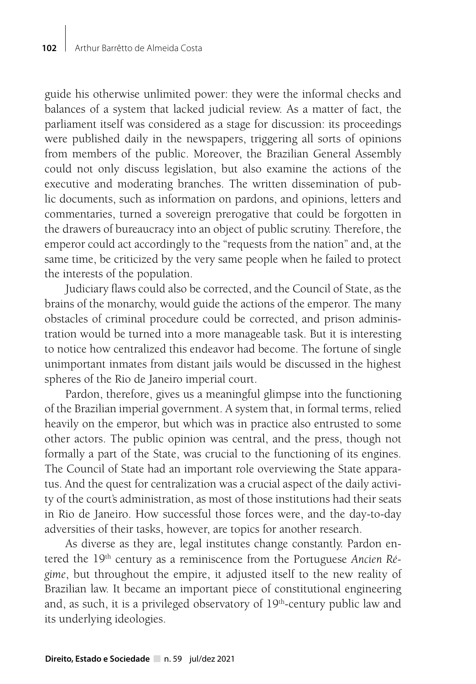guide his otherwise unlimited power: they were the informal checks and balances of a system that lacked judicial review. As a matter of fact, the parliament itself was considered as a stage for discussion: its proceedings were published daily in the newspapers, triggering all sorts of opinions from members of the public. Moreover, the Brazilian General Assembly could not only discuss legislation, but also examine the actions of the executive and moderating branches. The written dissemination of public documents, such as information on pardons, and opinions, letters and commentaries, turned a sovereign prerogative that could be forgotten in the drawers of bureaucracy into an object of public scrutiny. Therefore, the emperor could act accordingly to the "requests from the nation" and, at the same time, be criticized by the very same people when he failed to protect the interests of the population.

Judiciary flaws could also be corrected, and the Council of State, as the brains of the monarchy, would guide the actions of the emperor. The many obstacles of criminal procedure could be corrected, and prison administration would be turned into a more manageable task. But it is interesting to notice how centralized this endeavor had become. The fortune of single unimportant inmates from distant jails would be discussed in the highest spheres of the Rio de Janeiro imperial court.

Pardon, therefore, gives us a meaningful glimpse into the functioning of the Brazilian imperial government. A system that, in formal terms, relied heavily on the emperor, but which was in practice also entrusted to some other actors. The public opinion was central, and the press, though not formally a part of the State, was crucial to the functioning of its engines. The Council of State had an important role overviewing the State apparatus. And the quest for centralization was a crucial aspect of the daily activity of the court's administration, as most of those institutions had their seats in Rio de Janeiro. How successful those forces were, and the day-to-day adversities of their tasks, however, are topics for another research.

As diverse as they are, legal institutes change constantly. Pardon entered the 19<sup>th</sup> century as a reminiscence from the Portuguese Ancien Ré*gime*, but throughout the empire, it adjusted itself to the new reality of Brazilian law. It became an important piece of constitutional engineering and, as such, it is a privileged observatory of  $19<sup>th</sup>$ -century public law and its underlying ideologies.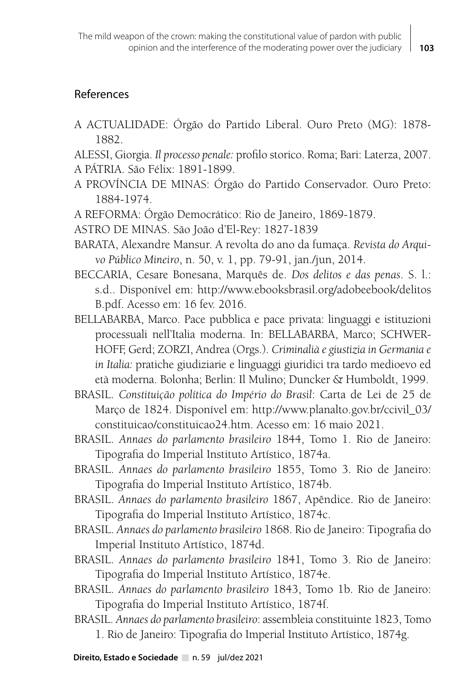### References

A ACTUALIDADE: Órgão do Partido Liberal. Ouro Preto (MG): 1878- 1882.

ALESSI, Giorgia. *Il processo penale:* profilo storico. Roma; Bari: Laterza, 2007. A PÁTRIA. São Félix: 1891-1899.

- A PROVÍNCIA DE MINAS: Órgão do Partido Conservador. Ouro Preto: 1884-1974.
- A REFORMA: Órgão Democrático: Rio de Janeiro, 1869-1879.
- ASTRO DE MINAS. São João d'El-Rey: 1827-1839
- BARATA, Alexandre Mansur. A revolta do ano da fumaça. *Revista do Arquivo Público Mineiro*, n. 50, v. 1, pp. 79-91, jan./jun, 2014.
- BECCARIA, Cesare Bonesana, Marquês de. *Dos delitos e das penas*. S. l.: s.d.. Disponível em: http://www.ebooksbrasil.org/adobeebook/delitos B.pdf. Acesso em: 16 fev. 2016.
- BELLABARBA, Marco. Pace pubblica e pace privata: linguaggi e istituzioni processuali nell'Italia moderna. In: BELLABARBA, Marco; SCHWER-HOFF, Gerd; ZORZI, Andrea (Orgs.). *Criminalià e giustizia in Germania e in Italia:* pratiche giudiziarie e linguaggi giuridici tra tardo medioevo ed età moderna. Bolonha; Berlin: Il Mulino; Duncker & Humboldt, 1999.
- BRASIL. *Constituição política do Império do Brasil*: Carta de Lei de 25 de Março de 1824. Disponível em: http://www.planalto.gov.br/ccivil\_03/ constituicao/constituicao24.htm. Acesso em: 16 maio 2021.
- BRASIL. *Annaes do parlamento brasileiro* 1844, Tomo 1. Rio de Janeiro: Tipografia do Imperial Instituto Artístico, 1874a.
- BRASIL. *Annaes do parlamento brasileiro* 1855, Tomo 3. Rio de Janeiro: Tipografia do Imperial Instituto Artístico, 1874b.
- BRASIL. *Annaes do parlamento brasileiro* 1867, Apêndice. Rio de Janeiro: Tipografia do Imperial Instituto Artístico, 1874c.
- BRASIL. *Annaes do parlamento brasileiro* 1868. Rio de Janeiro: Tipografia do Imperial Instituto Artístico, 1874d.
- BRASIL. *Annaes do parlamento brasileiro* 1841, Tomo 3. Rio de Janeiro: Tipografia do Imperial Instituto Artístico, 1874e.
- BRASIL. *Annaes do parlamento brasileiro* 1843, Tomo 1b. Rio de Janeiro: Tipografia do Imperial Instituto Artístico, 1874f.
- BRASIL. *Annaes do parlamento brasileiro*: assembleia constituinte 1823, Tomo 1. Rio de Janeiro: Tipografia do Imperial Instituto Artístico, 1874g.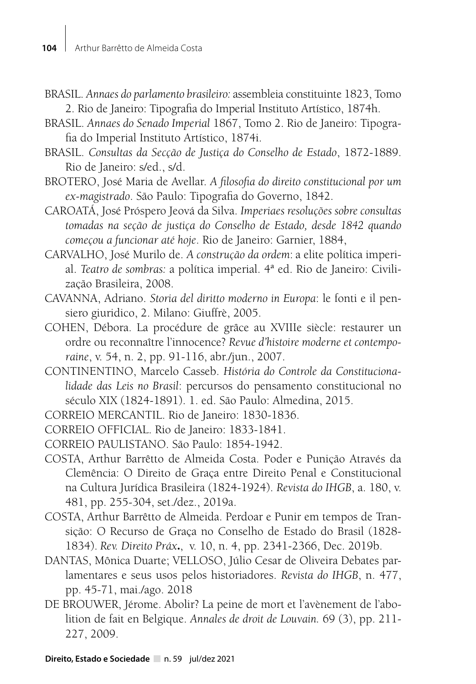- BRASIL. *Annaes do parlamento brasileiro:* assembleia constituinte 1823, Tomo 2. Rio de Janeiro: Tipografia do Imperial Instituto Artístico, 1874h.
- BRASIL. *Annaes do Senado Imperial* 1867, Tomo 2. Rio de Janeiro: Tipografia do Imperial Instituto Artístico, 1874i.
- BRASIL. *Consultas da Secção de Justiça do Conselho de Estado*, 1872-1889. Rio de Janeiro: s/ed., s/d.
- BROTERO, José Maria de Avellar. *A filosofia do direito constitucional por um ex-magistrado*. São Paulo: Tipografia do Governo, 1842.

CAROATÁ, José Próspero Jeová da Silva. *Imperiaes resoluções sobre consultas tomadas na seção de justiça do Conselho de Estado, desde 1842 quando começou a funcionar até hoje*. Rio de Janeiro: Garnier, 1884,

- CARVALHO, José Murilo de. *A construção da ordem*: a elite política imperial. *Teatro de sombras:* a política imperial. 4ª ed. Rio de Janeiro: Civilização Brasileira, 2008.
- CAVANNA, Adriano. *Storia del diritto moderno in Europa*: le fonti e il pensiero giuridico, 2. Milano: Giuffrè, 2005.
- COHEN, Débora. La procédure de grâce au XVIIIe siècle: restaurer un ordre ou reconnaître l'innocence? *Revue d'histoire moderne et contemporaine*, v. 54, n. 2, pp. 91-116, abr./jun., 2007.
- CONTINENTINO, Marcelo Casseb. *História do Controle da Constitucionalidade das Leis no Brasil*: percursos do pensamento constitucional no século XIX (1824-1891). 1. ed. São Paulo: Almedina, 2015.
- CORREIO MERCANTIL. Rio de Janeiro: 1830-1836.

CORREIO OFFICIAL. Rio de Janeiro: 1833-1841.

- CORREIO PAULISTANO. São Paulo: 1854-1942.
- COSTA, Arthur Barrêtto de Almeida Costa. Poder e Punição Através da Clemência: O Direito de Graça entre Direito Penal e Constitucional na Cultura Jurídica Brasileira (1824-1924). *Revista do IHGB*, a. 180, v. 481, pp. 255-304, set./dez., 2019a.
- COSTA, Arthur Barrêtto de Almeida. Perdoar e Punir em tempos de Transição: O Recurso de Graça no Conselho de Estado do Brasil (1828- 1834). *Rev. Direito Práx***.**, v. 10, n. 4, pp. 2341-2366, Dec. 2019b.
- DANTAS, Mônica Duarte; VELLOSO, Júlio Cesar de Oliveira Debates parlamentares e seus usos pelos historiadores. *Revista do IHGB*, n. 477, pp. 45-71, mai./ago. 2018
- DE BROUWER, Jérome. Abolir? La peine de mort et l'avènement de l'abolition de fait en Belgique. *Annales de droit de Louvain.* 69 (3), pp. 211- 227, 2009.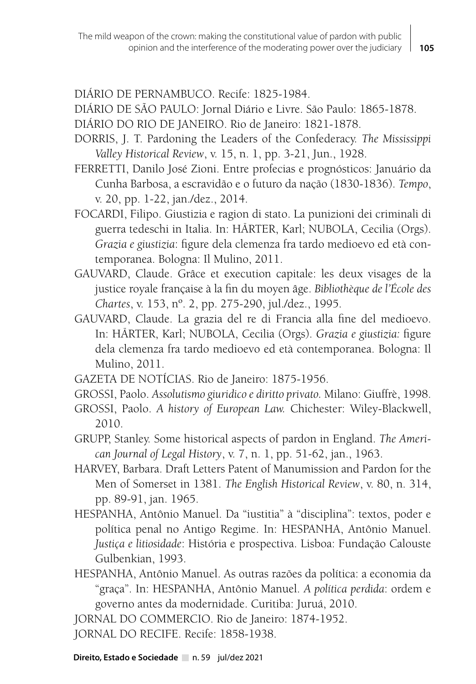DIÁRIO DE PERNAMBUCO. Recife: 1825-1984.

DIÁRIO DE SÃO PAULO: Jornal Diário e Livre. São Paulo: 1865-1878.

DIÁRIO DO RIO DE JANEIRO. Rio de Janeiro: 1821-1878.

- DORRIS, J. T. Pardoning the Leaders of the Confederacy. *The Mississippi Valley Historical Review*, v. 15, n. 1, pp. 3-21, Jun., 1928.
- FERRETTI, Danilo José Zioni. Entre profecias e prognósticos: Januário da Cunha Barbosa, a escravidão e o futuro da nação (1830-1836). *Tempo*, v. 20, pp. 1-22, jan./dez., 2014.
- FOCARDI, Filipo. Giustizia e ragion di stato. La punizioni dei criminali di guerra tedeschi in Italia. In: HÄRTER, Karl; NUBOLA, Cecilia (Orgs). *Grazia e giustizia*: figure dela clemenza fra tardo medioevo ed età contemporanea. Bologna: Il Mulino, 2011.
- GAUVARD, Claude. Grâce et execution capitale: les deux visages de la justice royale française à la fin du moyen âge. *Bibliothèque de l'École des Chartes*, v. 153, nº. 2, pp. 275-290, jul./dez., 1995.
- GAUVARD, Claude. La grazia del re di Francia alla fine del medioevo. In: HÄRTER, Karl; NUBOLA, Cecilia (Orgs). *Grazia e giustizia:* figure dela clemenza fra tardo medioevo ed età contemporanea. Bologna: Il Mulino, 2011.
- GAZETA DE NOTÍCIAS. Rio de Janeiro: 1875-1956.
- GROSSI, Paolo. *Assolutismo giuridico e diritto privato.* Milano: Giuffrè, 1998.
- GROSSI, Paolo. *A history of European Law.* Chichester: Wiley-Blackwell, 2010.
- GRUPP, Stanley. Some historical aspects of pardon in England. *The American Journal of Legal History*, v. 7, n. 1, pp. 51-62, jan., 1963.
- HARVEY, Barbara. Draft Letters Patent of Manumission and Pardon for the Men of Somerset in 1381. *The English Historical Review*, v. 80, n. 314, pp. 89-91, jan. 1965.
- HESPANHA, Antônio Manuel. Da "iustitia" à "disciplina": textos, poder e política penal no Antigo Regime. In: HESPANHA, Antônio Manuel. *Justiça e litiosidade*: História e prospectiva. Lisboa: Fundação Calouste Gulbenkian, 1993.
- HESPANHA, Antônio Manuel. As outras razões da política: a economia da "graça". In: HESPANHA, Antônio Manuel. *A política perdida*: ordem e governo antes da modernidade. Curitiba: Juruá, 2010.

JORNAL DO COMMERCIO. Rio de Janeiro: 1874-1952.

JORNAL DO RECIFE. Recife: 1858-1938.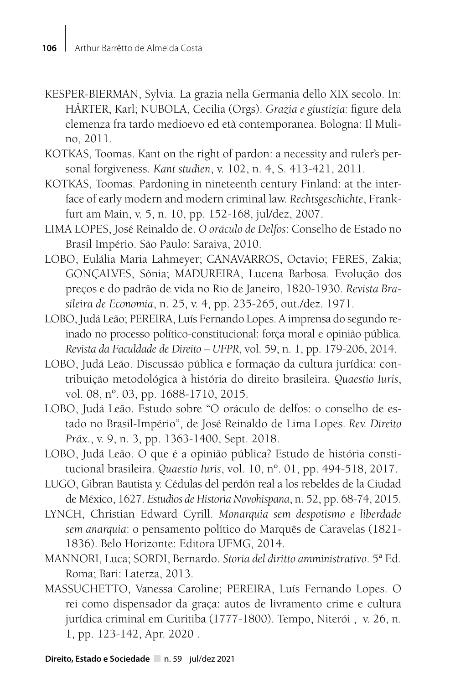- KESPER-BIERMAN, Sylvia. La grazia nella Germania dello XIX secolo. In: HÄRTER, Karl; NUBOLA, Cecilia (Orgs). *Grazia e giustizia:* figure dela clemenza fra tardo medioevo ed età contemporanea. Bologna: Il Mulino, 2011.
- KOTKAS, Toomas. Kant on the right of pardon: a necessity and ruler's personal forgiveness. *Kant studien*, v. 102, n. 4, S. 413-421, 2011.
- KOTKAS, Toomas. Pardoning in nineteenth century Finland: at the interface of early modern and modern criminal law. *Rechtsgeschichte*, Frankfurt am Main, v. 5, n. 10, pp. 152-168, jul/dez, 2007.
- LIMA LOPES, José Reinaldo de. *O oráculo de Delfos*: Conselho de Estado no Brasil Império. São Paulo: Saraiva, 2010.
- LOBO, Eulália Maria Lahmeyer; CANAVARROS, Octavio; FERES, Zakia; GONÇALVES, Sônia; MADUREIRA, Lucena Barbosa. Evolução dos preços e do padrão de vida no Rio de Janeiro, 1820-1930. *Revista Brasileira de Economia*, n. 25, v. 4, pp. 235-265, out./dez. 1971.
- LOBO, Judá Leão; PEREIRA, Luís Fernando Lopes. A imprensa do segundo reinado no processo político-constitucional: força moral e opinião pública. *Revista da Faculdade de Direito – UFPR*, vol. 59, n. 1, pp. 179-206, 2014.
- LOBO, Judá Leão. Discussão pública e formação da cultura jurídica: contribuição metodológica à história do direito brasileira. *Quaestio Iuris*, vol. 08, nº. 03, pp. 1688-1710, 2015.
- LOBO, Judá Leão. Estudo sobre "O oráculo de delfos: o conselho de estado no Brasil-Império", de José Reinaldo de Lima Lopes. *Rev. Direito Práx*., v. 9, n. 3, pp. 1363-1400, Sept. 2018.
- LOBO, Judá Leão. O que é a opinião pública? Estudo de história constitucional brasileira. *Quaestio Iuris*, vol. 10, nº. 01, pp. 494-518, 2017.
- LUGO, Gibran Bautista y. Cédulas del perdón real a los rebeldes de la Ciudad de México, 1627. *Estudios de Historia Novohispana*, n. 52, pp. 68-74, 2015.
- LYNCH, Christian Edward Cyrill. *Monarquia sem despotismo e liberdade sem anarquia*: o pensamento político do Marquês de Caravelas (1821- 1836). Belo Horizonte: Editora UFMG, 2014.
- MANNORI, Luca; SORDI, Bernardo. *Storia del diritto amministrativo*. 5ª Ed. Roma; Bari: Laterza, 2013.
- MASSUCHETTO, Vanessa Caroline; PEREIRA, Luís Fernando Lopes. O rei como dispensador da graça: autos de livramento crime e cultura jurídica criminal em Curitiba (1777-1800). Tempo, Niterói , v. 26, n. 1, pp. 123-142, Apr. 2020 .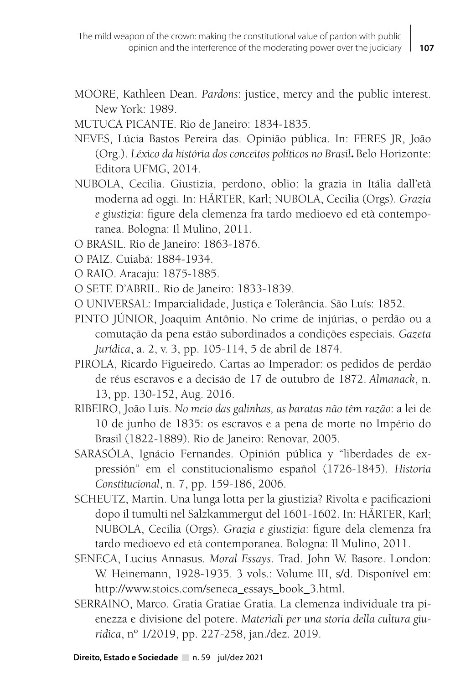- MOORE, Kathleen Dean. *Pardons*: justice, mercy and the public interest. New York: 1989.
- MUTUCA PICANTE. Rio de Janeiro: 1834-1835.
- NEVES, Lúcia Bastos Pereira das. Opinião pública. In: FERES JR, João (Org.). *Léxico da história dos conceitos políticos no Brasil***.** Belo Horizonte: Editora UFMG, 2014.
- NUBOLA, Cecilia. Giustizia, perdono, oblio: la grazia in Itália dall'età moderna ad oggi. In: HÄRTER, Karl; NUBOLA, Cecilia (Orgs). *Grazia e giustizia*: figure dela clemenza fra tardo medioevo ed età contemporanea. Bologna: Il Mulino, 2011.
- O BRASIL. Rio de Janeiro: 1863-1876.
- O PAIZ. Cuiabá: 1884-1934.
- O RAIO. Aracaju: 1875-1885.
- O SETE D'ABRIL. Rio de Janeiro: 1833-1839.
- O UNIVERSAL: Imparcialidade, Justiça e Tolerância. São Luís: 1852.
- PINTO JÚNIOR, Joaquim Antônio. No crime de injúrias, o perdão ou a comutação da pena estão subordinados a condições especiais. *Gazeta Jurídica*, a. 2, v. 3, pp. 105-114, 5 de abril de 1874.
- PIROLA, Ricardo Figueiredo. Cartas ao Imperador: os pedidos de perdão de réus escravos e a decisão de 17 de outubro de 1872. *Almanack*, n. 13, pp. 130-152, Aug. 2016.
- RIBEIRO, João Luís. *No meio das galinhas, as baratas não têm razão*: a lei de 10 de junho de 1835: os escravos e a pena de morte no Império do Brasil (1822-1889). Rio de Janeiro: Renovar, 2005.
- SARASÓLA, Ignácio Fernandes. Opinión pública y "liberdades de expressión" em el constitucionalismo español (1726-1845). *Historia Constitucional*, n. 7, pp. 159-186, 2006.
- SCHEUTZ, Martin. Una lunga lotta per la giustizia? Rivolta e pacificazioni dopo il tumulti nel Salzkammergut del 1601-1602. In: HÄRTER, Karl; NUBOLA, Cecilia (Orgs). *Grazia e giustizia*: figure dela clemenza fra tardo medioevo ed età contemporanea. Bologna: Il Mulino, 2011.
- SENECA, Lucius Annasus. *Moral Essays*. Trad. John W. Basore. London: W. Heinemann, 1928-1935. 3 vols.: Volume III, s/d. Disponível em: http://www.stoics.com/seneca\_essays\_book\_3.html.
- SERRAINO, Marco. Gratia Gratiae Gratia. La clemenza individuale tra pienezza e divisione del potere. *Materiali per una storia della cultura giuridica*, nº 1/2019, pp. 227-258, jan./dez. 2019.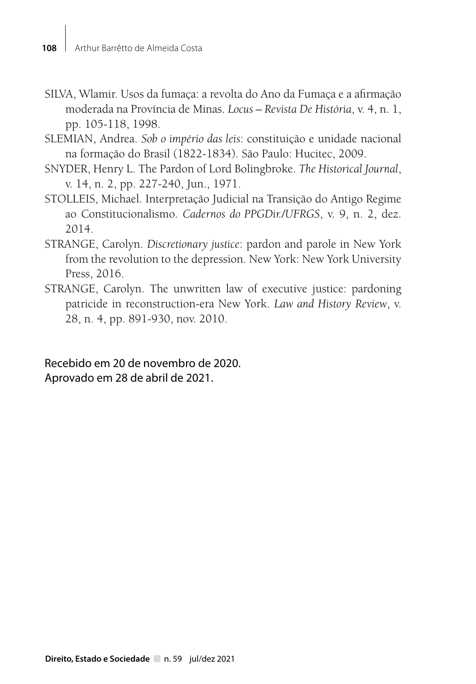- SILVA, Wlamir. Usos da fumaça: a revolta do Ano da Fumaça e a afirmação moderada na Província de Minas. *Locus – Revista De História*, v. 4, n. 1, pp. 105-118, 1998.
- SLEMIAN, Andrea. *Sob o império das leis*: constituição e unidade nacional na formação do Brasil (1822-1834). São Paulo: Hucitec, 2009.
- SNYDER, Henry L. The Pardon of Lord Bolingbroke. *The Historical Journal*, v. 14, n. 2, pp. 227-240, Jun., 1971.
- STOLLEIS, Michael. Interpretação Judicial na Transição do Antigo Regime ao Constitucionalismo. *Cadernos do PPGDir./UFRGS*, v. 9, n. 2, dez. 2014.
- STRANGE, Carolyn. *Discretionary justice*: pardon and parole in New York from the revolution to the depression. New York: New York University Press, 2016.
- STRANGE, Carolyn. The unwritten law of executive justice: pardoning patricide in reconstruction-era New York. *Law and History Review*, v. 28, n. 4, pp. 891-930, nov. 2010.

Recebido em 20 de novembro de 2020. Aprovado em 28 de abril de 2021.